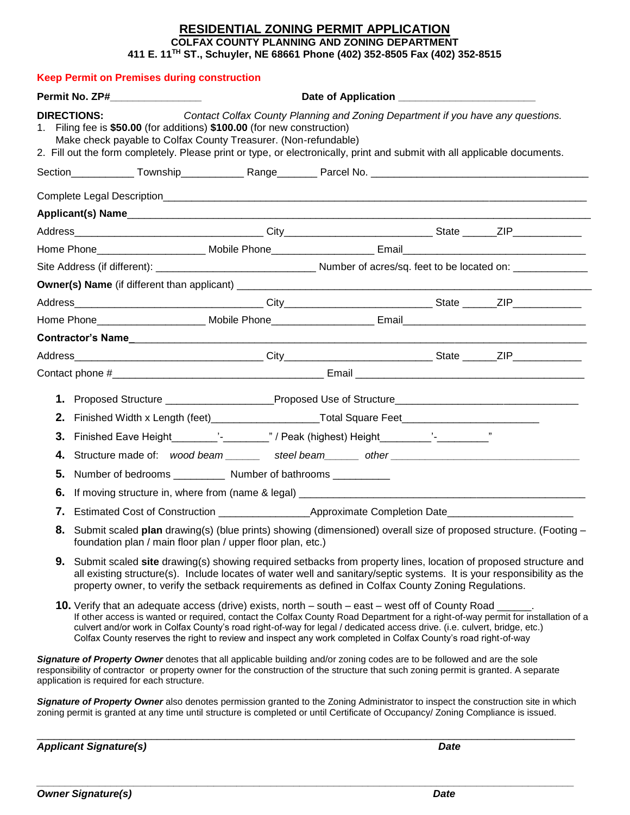## **RESIDENTIAL ZONING PERMIT APPLICATION COLFAX COUNTY PLANNING AND ZONING DEPARTMENT 411 E. 11TH ST., Schuyler, NE 68661 Phone (402) 352-8505 Fax (402) 352-8515**

|                                                                                                                                                                                                                                                                                                                                                                                                                                                                                          | <b>Keep Permit on Premises during construction</b>                                                                                                                                                                                                                                                                                                 |                                                                                                                                                                                                                                                                                                                                                             |  |  |  |  |  |
|------------------------------------------------------------------------------------------------------------------------------------------------------------------------------------------------------------------------------------------------------------------------------------------------------------------------------------------------------------------------------------------------------------------------------------------------------------------------------------------|----------------------------------------------------------------------------------------------------------------------------------------------------------------------------------------------------------------------------------------------------------------------------------------------------------------------------------------------------|-------------------------------------------------------------------------------------------------------------------------------------------------------------------------------------------------------------------------------------------------------------------------------------------------------------------------------------------------------------|--|--|--|--|--|
|                                                                                                                                                                                                                                                                                                                                                                                                                                                                                          | Permit No. ZP#________________                                                                                                                                                                                                                                                                                                                     |                                                                                                                                                                                                                                                                                                                                                             |  |  |  |  |  |
|                                                                                                                                                                                                                                                                                                                                                                                                                                                                                          | <b>DIRECTIONS:</b>                                                                                                                                                                                                                                                                                                                                 | Contact Colfax County Planning and Zoning Department if you have any questions.<br>1. Filing fee is \$50.00 (for additions) \$100.00 (for new construction)<br>Make check payable to Colfax County Treasurer. (Non-refundable)<br>2. Fill out the form completely. Please print or type, or electronically, print and submit with all applicable documents. |  |  |  |  |  |
|                                                                                                                                                                                                                                                                                                                                                                                                                                                                                          |                                                                                                                                                                                                                                                                                                                                                    |                                                                                                                                                                                                                                                                                                                                                             |  |  |  |  |  |
|                                                                                                                                                                                                                                                                                                                                                                                                                                                                                          |                                                                                                                                                                                                                                                                                                                                                    |                                                                                                                                                                                                                                                                                                                                                             |  |  |  |  |  |
|                                                                                                                                                                                                                                                                                                                                                                                                                                                                                          |                                                                                                                                                                                                                                                                                                                                                    |                                                                                                                                                                                                                                                                                                                                                             |  |  |  |  |  |
|                                                                                                                                                                                                                                                                                                                                                                                                                                                                                          |                                                                                                                                                                                                                                                                                                                                                    |                                                                                                                                                                                                                                                                                                                                                             |  |  |  |  |  |
|                                                                                                                                                                                                                                                                                                                                                                                                                                                                                          |                                                                                                                                                                                                                                                                                                                                                    |                                                                                                                                                                                                                                                                                                                                                             |  |  |  |  |  |
|                                                                                                                                                                                                                                                                                                                                                                                                                                                                                          |                                                                                                                                                                                                                                                                                                                                                    |                                                                                                                                                                                                                                                                                                                                                             |  |  |  |  |  |
|                                                                                                                                                                                                                                                                                                                                                                                                                                                                                          |                                                                                                                                                                                                                                                                                                                                                    |                                                                                                                                                                                                                                                                                                                                                             |  |  |  |  |  |
|                                                                                                                                                                                                                                                                                                                                                                                                                                                                                          |                                                                                                                                                                                                                                                                                                                                                    |                                                                                                                                                                                                                                                                                                                                                             |  |  |  |  |  |
|                                                                                                                                                                                                                                                                                                                                                                                                                                                                                          |                                                                                                                                                                                                                                                                                                                                                    | Home Phone_______________________ Mobile Phone________________________Email___________________________________                                                                                                                                                                                                                                              |  |  |  |  |  |
|                                                                                                                                                                                                                                                                                                                                                                                                                                                                                          |                                                                                                                                                                                                                                                                                                                                                    |                                                                                                                                                                                                                                                                                                                                                             |  |  |  |  |  |
|                                                                                                                                                                                                                                                                                                                                                                                                                                                                                          |                                                                                                                                                                                                                                                                                                                                                    |                                                                                                                                                                                                                                                                                                                                                             |  |  |  |  |  |
|                                                                                                                                                                                                                                                                                                                                                                                                                                                                                          |                                                                                                                                                                                                                                                                                                                                                    |                                                                                                                                                                                                                                                                                                                                                             |  |  |  |  |  |
|                                                                                                                                                                                                                                                                                                                                                                                                                                                                                          | 1. Proposed Structure ____________________Proposed Use of Structure_________________________________                                                                                                                                                                                                                                               |                                                                                                                                                                                                                                                                                                                                                             |  |  |  |  |  |
|                                                                                                                                                                                                                                                                                                                                                                                                                                                                                          | 2. Finished Width x Length (feet)_______________________Total Square Feet__________________________                                                                                                                                                                                                                                                |                                                                                                                                                                                                                                                                                                                                                             |  |  |  |  |  |
|                                                                                                                                                                                                                                                                                                                                                                                                                                                                                          |                                                                                                                                                                                                                                                                                                                                                    |                                                                                                                                                                                                                                                                                                                                                             |  |  |  |  |  |
|                                                                                                                                                                                                                                                                                                                                                                                                                                                                                          |                                                                                                                                                                                                                                                                                                                                                    |                                                                                                                                                                                                                                                                                                                                                             |  |  |  |  |  |
| 5.                                                                                                                                                                                                                                                                                                                                                                                                                                                                                       |                                                                                                                                                                                                                                                                                                                                                    | Number of bedrooms ____________ Number of bathrooms __________                                                                                                                                                                                                                                                                                              |  |  |  |  |  |
| 6.                                                                                                                                                                                                                                                                                                                                                                                                                                                                                       |                                                                                                                                                                                                                                                                                                                                                    |                                                                                                                                                                                                                                                                                                                                                             |  |  |  |  |  |
|                                                                                                                                                                                                                                                                                                                                                                                                                                                                                          |                                                                                                                                                                                                                                                                                                                                                    |                                                                                                                                                                                                                                                                                                                                                             |  |  |  |  |  |
|                                                                                                                                                                                                                                                                                                                                                                                                                                                                                          | 8. Submit scaled plan drawing(s) (blue prints) showing (dimensioned) overall size of proposed structure. (Footing -<br>foundation plan / main floor plan / upper floor plan, etc.)                                                                                                                                                                 |                                                                                                                                                                                                                                                                                                                                                             |  |  |  |  |  |
|                                                                                                                                                                                                                                                                                                                                                                                                                                                                                          | 9. Submit scaled site drawing(s) showing required setbacks from property lines, location of proposed structure and<br>all existing structure(s). Include locates of water well and sanitary/septic systems. It is your responsibility as the<br>property owner, to verify the setback requirements as defined in Colfax County Zoning Regulations. |                                                                                                                                                                                                                                                                                                                                                             |  |  |  |  |  |
| 10. Verify that an adequate access (drive) exists, north – south – east – west off of County Road ___<br>If other access is wanted or required, contact the Colfax County Road Department for a right-of-way permit for installation of a<br>culvert and/or work in Colfax County's road right-of-way for legal / dedicated access drive. (i.e. culvert, bridge, etc.)<br>Colfax County reserves the right to review and inspect any work completed in Colfax County's road right-of-way |                                                                                                                                                                                                                                                                                                                                                    |                                                                                                                                                                                                                                                                                                                                                             |  |  |  |  |  |
| Signature of Property Owner denotes that all applicable building and/or zoning codes are to be followed and are the sole<br>responsibility of contractor or property owner for the construction of the structure that such zoning permit is granted. A separate<br>application is required for each structure.                                                                                                                                                                           |                                                                                                                                                                                                                                                                                                                                                    |                                                                                                                                                                                                                                                                                                                                                             |  |  |  |  |  |
|                                                                                                                                                                                                                                                                                                                                                                                                                                                                                          |                                                                                                                                                                                                                                                                                                                                                    | Signature of Property Owner also denotes permission granted to the Zoning Administrator to inspect the construction site in which<br>zoning permit is granted at any time until structure is completed or until Certificate of Occupancy/ Zoning Compliance is issued.                                                                                      |  |  |  |  |  |

\_\_\_\_\_\_\_\_\_\_\_\_\_\_\_\_\_\_\_\_\_\_\_\_\_\_\_\_\_\_\_\_\_\_\_\_\_\_\_\_\_\_\_\_\_\_\_\_\_\_\_\_\_\_\_\_\_\_\_\_\_\_\_\_\_\_\_\_\_\_\_\_\_\_\_\_\_\_\_\_\_\_\_\_\_\_\_\_\_\_\_\_\_\_

*\_\_\_\_\_\_\_\_\_\_\_\_\_\_\_\_\_\_\_\_\_\_\_\_\_\_\_\_\_\_\_\_\_\_\_\_\_\_\_\_\_\_\_\_\_\_\_\_\_\_\_\_\_\_\_\_\_\_\_\_\_\_\_\_\_\_\_\_\_\_\_\_\_\_\_\_\_\_\_\_\_\_\_\_\_\_\_\_\_\_\_\_\_\_* 

Applicant Signature(s) and *Date* **Date is a matter of the** *Date*  $\blacksquare$